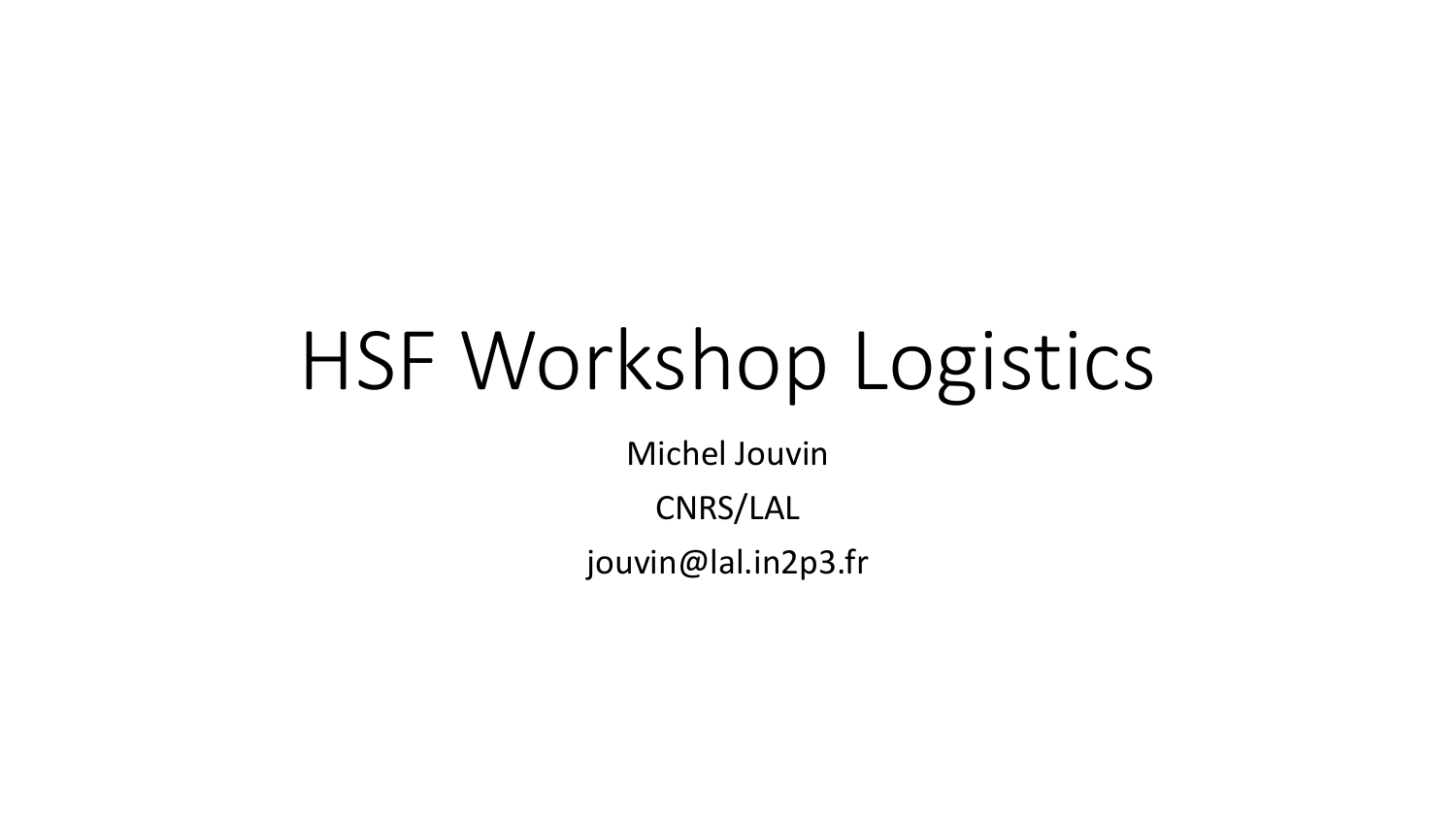# HSF Workshop Logistics

Michel Jouvin

CNRS/LAL

jouvin@lal.in2p3.fr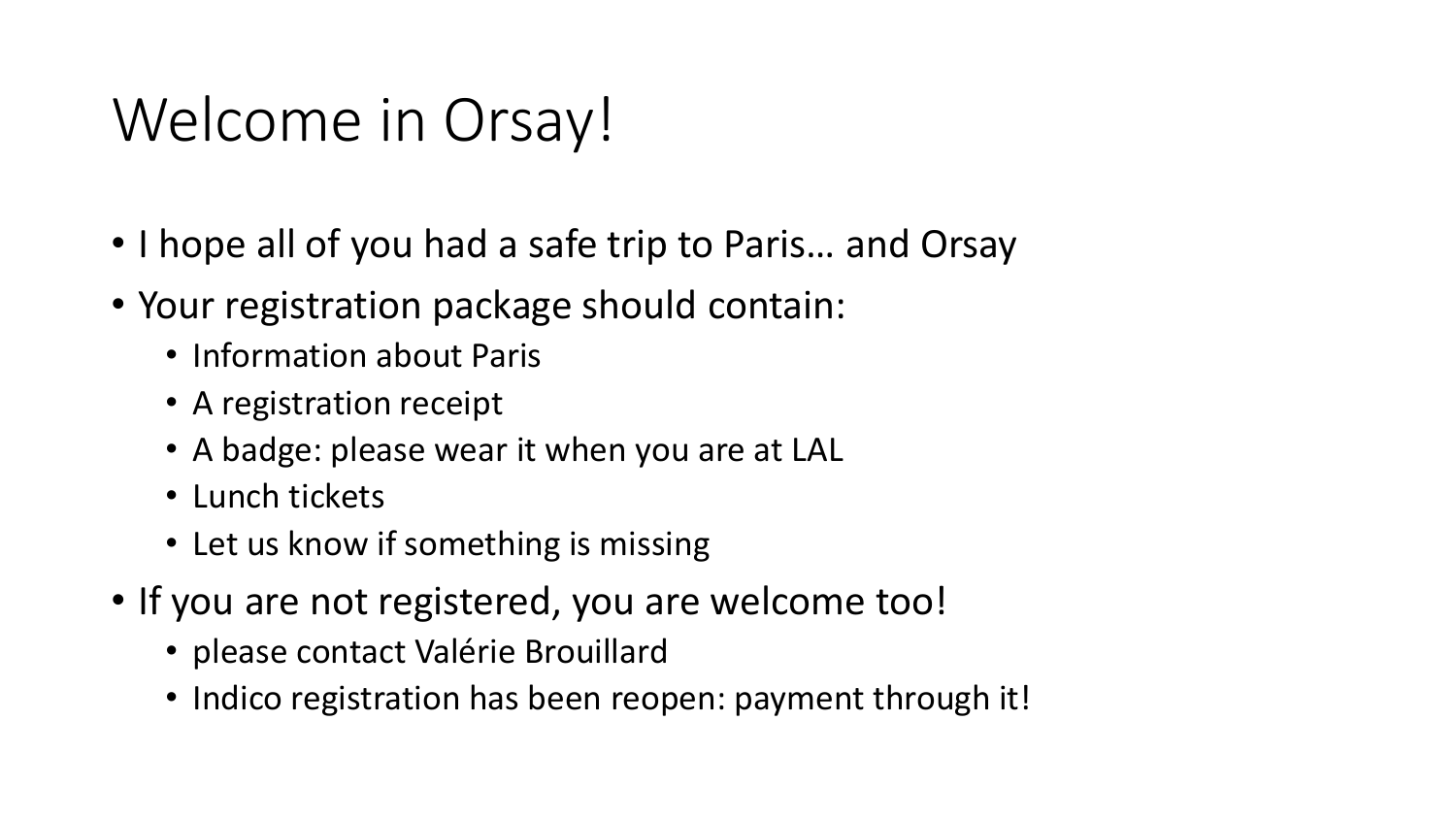## Welcome in Orsay!

- I hope all of you had a safe trip to Paris… and Orsay
- Your registration package should contain:
	- Information about Paris
	- A registration receipt
	- A badge: please wear it when you are at LAL
	- Lunch tickets
	- Let us know if something is missing
- If you are not registered, you are welcome too!
	- please contact Valérie Brouillard
	- Indico registration has been reopen: payment through it!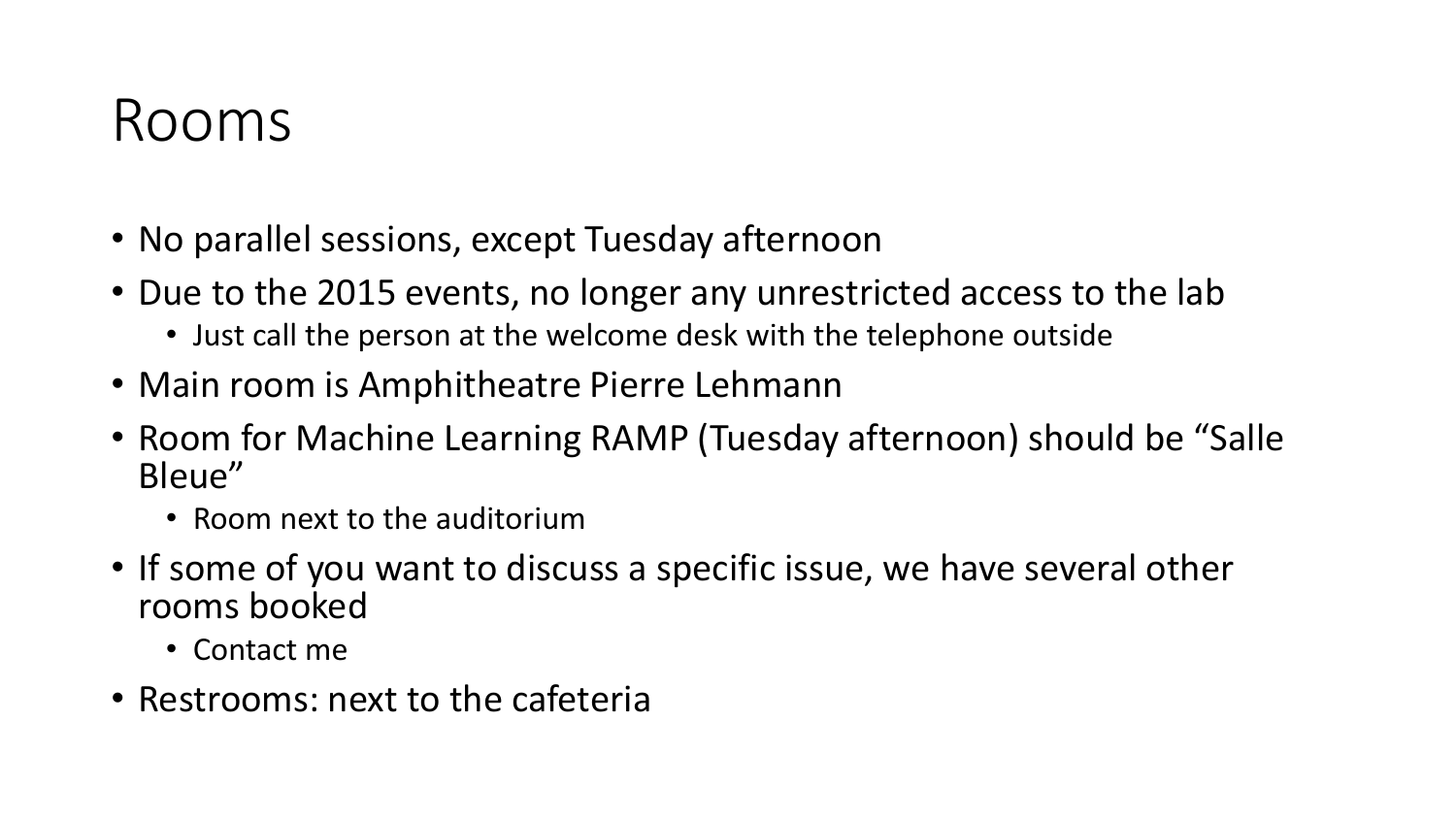#### Rooms

- No parallel sessions, except Tuesday afternoon
- Due to the 2015 events, no longer any unrestricted access to the lab
	- Just call the person at the welcome desk with the telephone outside
- Main room is Amphitheatre Pierre Lehmann
- Room for Machine Learning RAMP (Tuesday afternoon) should be "Salle Bleue"
	- Room next to the auditorium
- If some of you want to discuss a specific issue, we have several other rooms booked
	- Contact me
- Restrooms: next to the cafeteria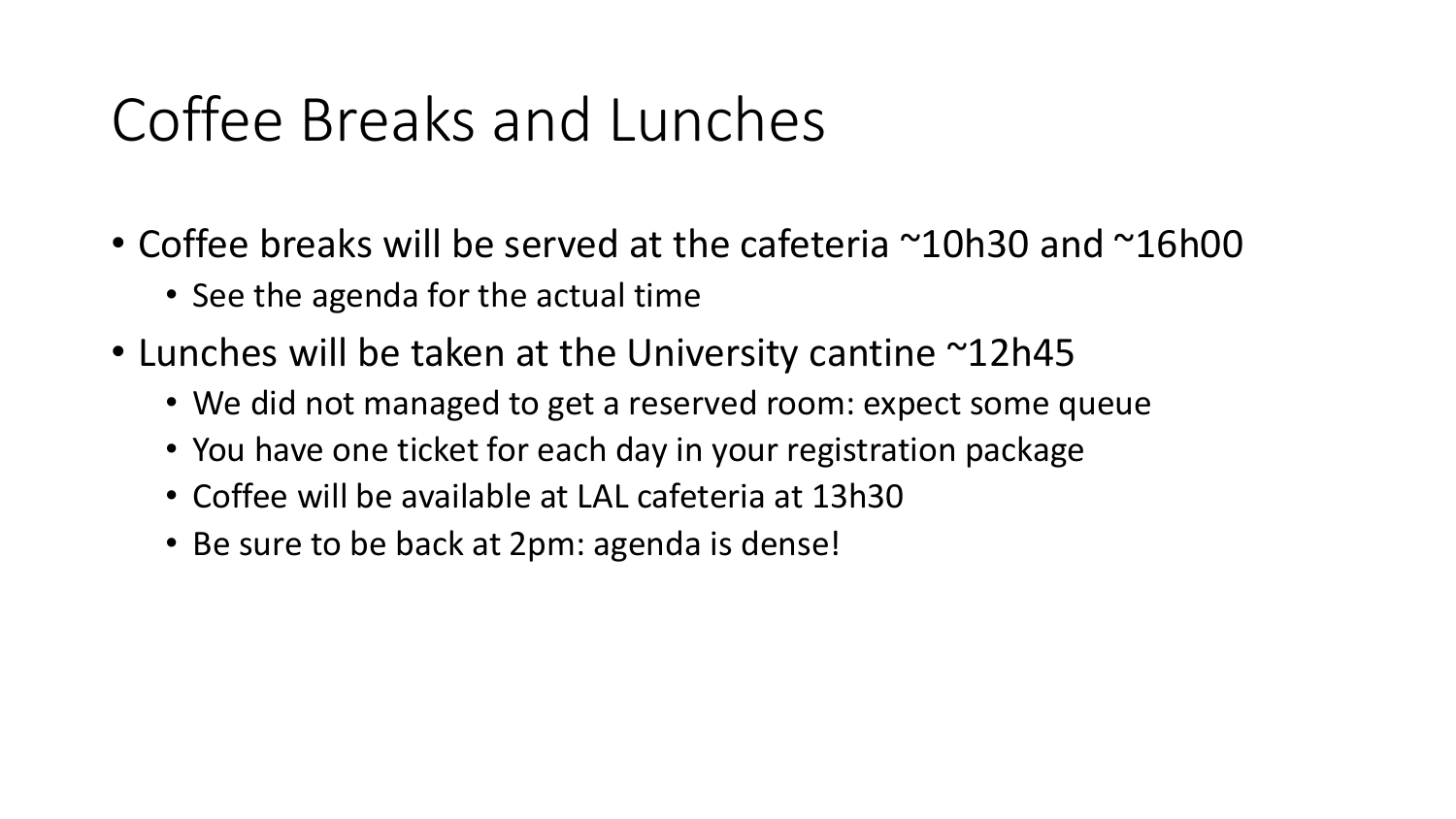#### Coffee Breaks and Lunches

- Coffee breaks will be served at the cafeteria ~10h30 and ~16h00
	- See the agenda for the actual time
- Lunches will be taken at the University cantine ~12h45
	- We did not managed to get a reserved room: expect some queue
	- You have one ticket for each day in your registration package
	- Coffee will be available at LAL cafeteria at 13h30
	- Be sure to be back at 2pm: agenda is dense!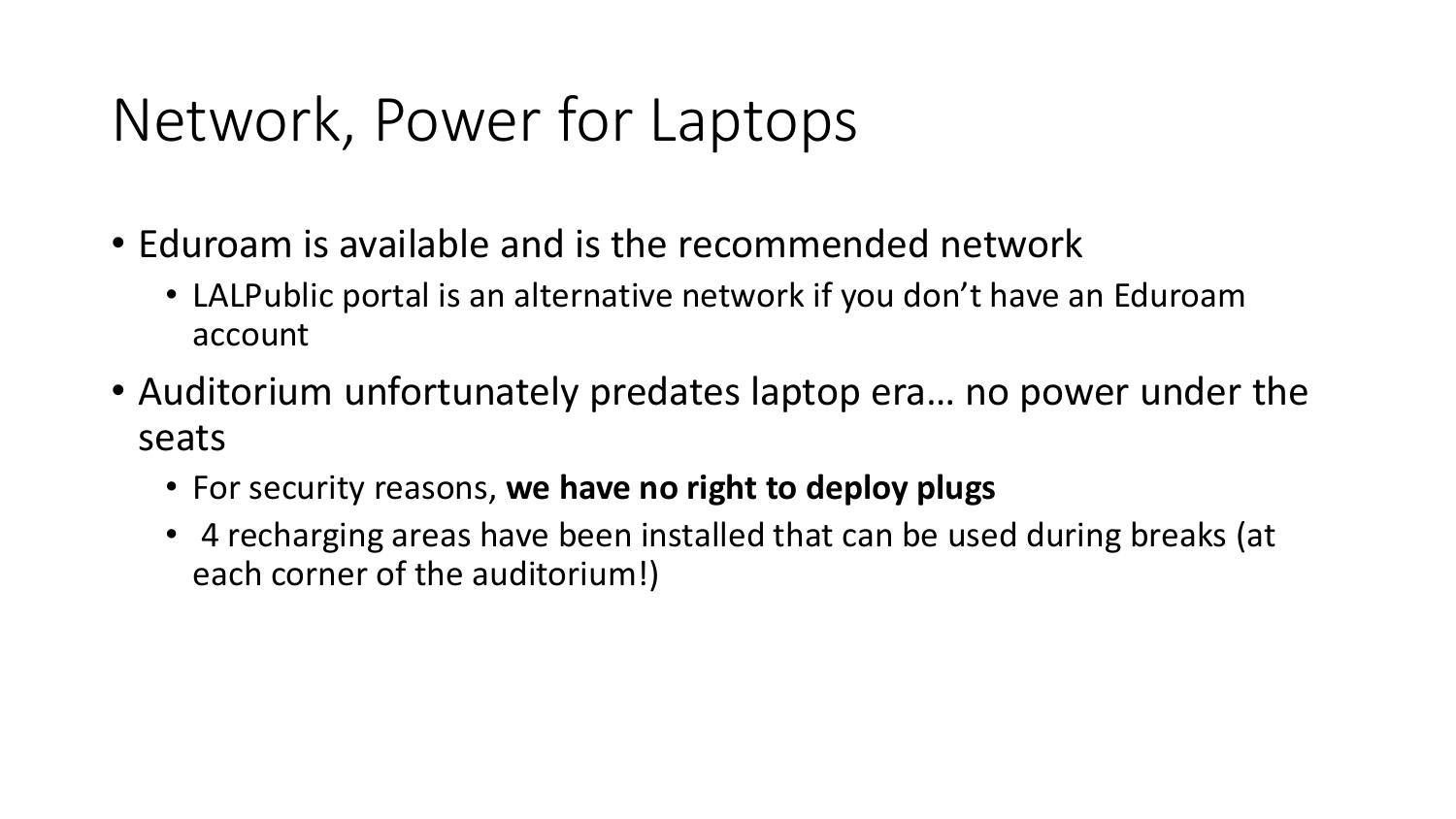## Network, Power for Laptops

- Eduroam is available and is the recommended network
	- LALPublic portal is an alternative network if you don't have an Eduroam account
- Auditorium unfortunately predates laptop era… no power under the seats
	- For security reasons, **we have no right to deploy plugs**
	- 4 recharging areas have been installed that can be used during breaks (at each corner of the auditorium!)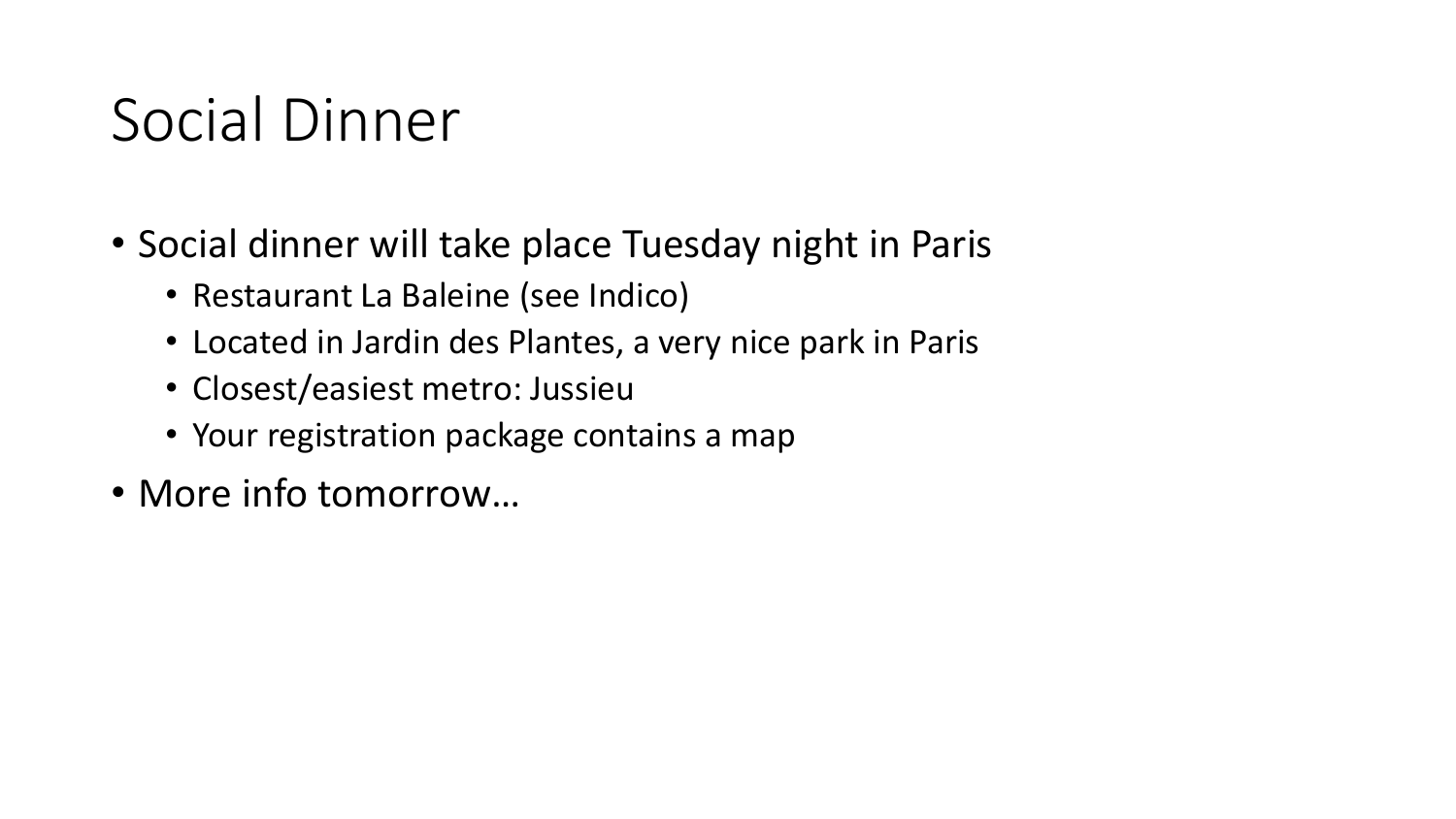## Social Dinner

- Social dinner will take place Tuesday night in Paris
	- Restaurant La Baleine (see Indico)
	- Located in Jardin des Plantes, a very nice park in Paris
	- Closest/easiest metro: Jussieu
	- Your registration package contains a map
- More info tomorrow…